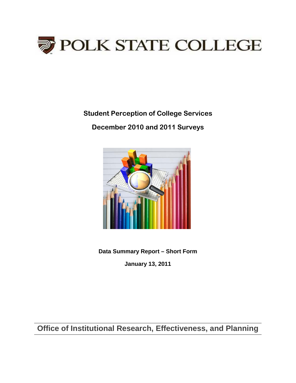

**Student Perception of College Services**

**December 2010 and 2011 Surveys** 



**Data Summary Report – Short Form**

**January 13, 2011**

**Office of Institutional Research, Effectiveness, and Planning**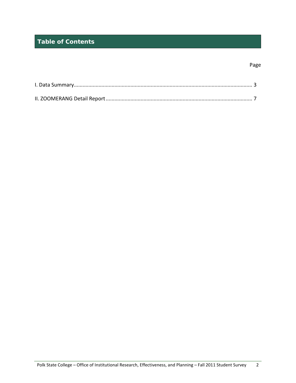# **Table of Contents**

#### Page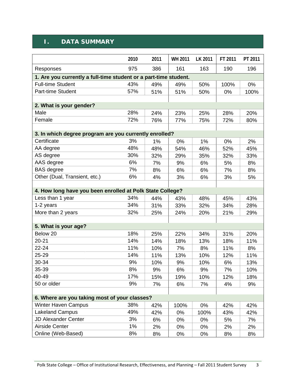#### **I. DATA SUMMARY**

|                                                                  | 2010 | 2011 | WH 2011 | LK 2011 | FT 2011 | PT 2011 |
|------------------------------------------------------------------|------|------|---------|---------|---------|---------|
| Responses                                                        | 975  | 386  | 161     | 163     | 190     | 196     |
| 1. Are you currently a full-time student or a part-time student. |      |      |         |         |         |         |
| <b>Full-time Student</b>                                         | 43%  | 49%  | 49%     | 50%     | 100%    | $0\%$   |
| Part-time Student                                                | 57%  | 51%  | 51%     | 50%     | 0%      | 100%    |
|                                                                  |      |      |         |         |         |         |
| 2. What is your gender?                                          |      |      |         |         |         |         |
| Male                                                             | 28%  | 24%  | 23%     | 25%     | 28%     | 20%     |
| Female                                                           | 72%  | 76%  | 77%     | 75%     | 72%     | 80%     |
|                                                                  |      |      |         |         |         |         |
| 3. In which degree program are you currently enrolled?           |      |      |         |         |         |         |
| Certificate                                                      | 3%   | 1%   | $0\%$   | 1%      | $0\%$   | 2%      |
| AA degree                                                        | 48%  | 48%  | 54%     | 46%     | 52%     | 45%     |
| AS degree                                                        | 30%  | 32%  | 29%     | 35%     | 32%     | 33%     |
| AAS degree                                                       | 6%   | 7%   | 9%      | 6%      | 5%      | 8%      |
| <b>BAS</b> degree                                                | 7%   | 8%   | 6%      | 6%      | 7%      | 8%      |
| Other (Dual, Transient, etc.)                                    | 6%   | 4%   | 3%      | 6%      | 3%      | 5%      |
|                                                                  |      |      |         |         |         |         |
| 4. How long have you been enrolled at Polk State College?        |      |      |         |         |         |         |
| Less than 1 year                                                 | 34%  | 44%  | 43%     | 48%     | 45%     | 43%     |
| 1-2 years                                                        | 34%  | 31%  | 33%     | 32%     | 34%     | 28%     |
| More than 2 years                                                | 32%  | 25%  | 24%     | 20%     | 21%     | 29%     |
|                                                                  |      |      |         |         |         |         |
| 5. What is your age?                                             |      |      |         |         |         |         |
| Below 20                                                         | 18%  | 25%  | 22%     | 34%     | 31%     | 20%     |
| 20-21                                                            | 14%  | 14%  | 18%     | 13%     | 18%     | 11%     |
| $22 - 24$                                                        | 11%  | 10%  | 7%      | 8%      | 11%     | 8%      |
| 25-29                                                            | 14%  | 11%  | 13%     | 10%     | 12%     | 11%     |
| 30-34                                                            | 9%   | 10%  | 9%      | 10%     | 6%      | 13%     |
| 35-39                                                            | 8%   | 9%   | 6%      | 9%      | 7%      | 10%     |
| 40-49                                                            | 17%  | 15%  | 19%     | 10%     | 12%     | 18%     |
| 50 or older                                                      | 9%   | 7%   | 6%      | 7%      | 4%      | 9%      |
|                                                                  |      |      |         |         |         |         |
| 6. Where are you taking most of your classes?                    |      |      |         |         |         |         |
| <b>Winter Haven Campus</b>                                       | 38%  | 42%  | 100%    | 0%      | 42%     | 42%     |
| <b>Lakeland Campus</b>                                           | 49%  | 42%  | 0%      | 100%    | 43%     | 42%     |
| <b>JD Alexander Center</b>                                       | 3%   | 6%   | 0%      | 0%      | 5%      | 7%      |
| <b>Airside Center</b>                                            | 1%   | 2%   | 0%      | 0%      | 2%      | 2%      |
| Online (Web-Based)                                               | 8%   | 8%   | 0%      | 0%      | 8%      | 8%      |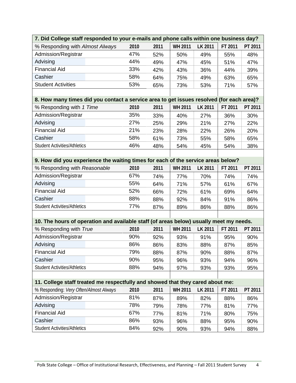| 7. Did College staff responded to your e-mails and phone calls within one business day?  |      |      |                |                |         |         |  |  |
|------------------------------------------------------------------------------------------|------|------|----------------|----------------|---------|---------|--|--|
| % Responding with Almost Always                                                          | 2010 | 2011 | <b>WH 2011</b> | LK 2011        | FT 2011 | PT 2011 |  |  |
| Admission/Registrar                                                                      | 47%  | 52%  | 50%            | 49%            | 55%     | 48%     |  |  |
| Advising                                                                                 | 44%  | 49%  | 47%            | 45%            | 51%     | 47%     |  |  |
| <b>Financial Aid</b>                                                                     | 33%  | 42%  | 43%            | 36%            | 44%     | 39%     |  |  |
| Cashier                                                                                  | 58%  | 64%  | 75%            | 49%            | 63%     | 65%     |  |  |
| <b>Student Activities</b>                                                                | 53%  | 65%  | 73%            | 53%            | 71%     | 57%     |  |  |
|                                                                                          |      |      |                |                |         |         |  |  |
| 8. How many times did you contact a service area to get issues resolved (for each area)? |      |      |                |                |         |         |  |  |
| % Responding with 1 Time                                                                 | 2010 | 2011 | <b>WH 2011</b> | LK 2011        | FT 2011 | PT 2011 |  |  |
| Admission/Registrar                                                                      | 35%  | 33%  | 40%            | 27%            | 36%     | 30%     |  |  |
| Advising                                                                                 | 27%  | 25%  | 29%            | 21%            | 27%     | 22%     |  |  |
| <b>Financial Aid</b>                                                                     | 21%  | 23%  | 28%            | 22%            | 26%     | 20%     |  |  |
| Cashier                                                                                  | 58%  | 61%  | 73%            | 55%            | 58%     | 65%     |  |  |
| <b>Student Activities/Athletics</b>                                                      | 46%  | 48%  | 54%            | 45%            | 54%     | 38%     |  |  |
|                                                                                          |      |      |                |                |         |         |  |  |
| 9. How did you experience the waiting times for each of the service areas below?         |      |      |                |                |         |         |  |  |
| % Responding with Reasonable                                                             | 2010 | 2011 | <b>WH 2011</b> | LK 2011        | FT 2011 | PT 2011 |  |  |
| Admission/Registrar                                                                      | 67%  | 74%  | 77%            | 70%            | 74%     | 74%     |  |  |
| Advising                                                                                 | 55%  | 64%  | 71%            | 57%            | 61%     | 67%     |  |  |
| <b>Financial Aid</b>                                                                     | 52%  | 66%  | 72%            | 61%            | 69%     | 64%     |  |  |
| Cashier                                                                                  | 88%  | 88%  | 92%            | 84%            | 91%     | 86%     |  |  |
| <b>Student Activities/Athletics</b>                                                      | 77%  | 87%  | 89%            | 86%            | 88%     | 86%     |  |  |
|                                                                                          |      |      |                |                |         |         |  |  |
| 10. The hours of operation and available staff (of areas below) usually meet my needs.   |      |      |                |                |         |         |  |  |
| % Responding with True                                                                   | 2010 | 2011 | <b>WH 2011</b> | <b>LK 2011</b> | FT 2011 | PT 2011 |  |  |
| Admission/Registrar                                                                      | 90%  | 92%  | 93%            | 91%            | 95%     | 90%     |  |  |
| Advising                                                                                 | 86%  | 86%  | 83%            | 88%            | 87%     | 85%     |  |  |
| <b>Financial Aid</b>                                                                     | 79%  | 88%  | 87%            | 90%            | 88%     | 87%     |  |  |
| Cashier                                                                                  | 90%  | 95%  | 96%            | 93%            | 94%     | 96%     |  |  |
| <b>Student Activities/Athletics</b>                                                      | 88%  | 94%  | 97%            | 93%            | 93%     | 95%     |  |  |
|                                                                                          |      |      |                |                |         |         |  |  |
| 11. College staff treated me respectfully and showed that they cared about me:           |      |      |                |                |         |         |  |  |
| % Responding: Very Often/Almost Always                                                   | 2010 | 2011 | <b>WH 2011</b> | LK 2011        | FT 2011 | PT 2011 |  |  |
| Admission/Registrar                                                                      | 81%  | 87%  | 89%            | 82%            | 88%     | 86%     |  |  |
| Advising                                                                                 | 78%  | 79%  | 78%            | 77%            | 81%     | 77%     |  |  |
| <b>Financial Aid</b>                                                                     | 67%  | 77%  | 81%            | 71%            | 80%     | 75%     |  |  |
| Cashier                                                                                  | 86%  | 93%  | 96%            | 88%            | 95%     | 90%     |  |  |
| <b>Student Activities/Athletics</b>                                                      | 84%  | 92%  | 90%            | 93%            | 94%     | 88%     |  |  |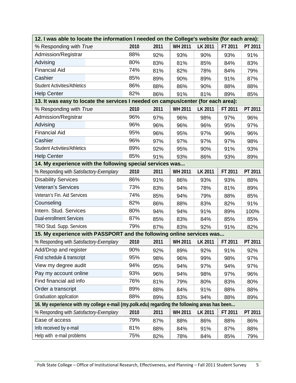| 12. I was able to locate the information I needed on the College's website (for each area):   |      |      |                |         |         |         |
|-----------------------------------------------------------------------------------------------|------|------|----------------|---------|---------|---------|
| % Responding with True                                                                        | 2010 | 2011 | <b>WH 2011</b> | LK 2011 | FT 2011 | PT 2011 |
| Admission/Registrar                                                                           | 88%  | 92%  | 93%            | 90%     | 93%     | 91%     |
| Advising                                                                                      | 80%  | 83%  | 81%            | 85%     | 84%     | 83%     |
| <b>Financial Aid</b>                                                                          | 74%  | 81%  | 82%            | 78%     | 84%     | 79%     |
| Cashier                                                                                       | 85%  | 89%  | 90%            | 89%     | 91%     | 87%     |
| <b>Student Activities/Athletics</b>                                                           | 86%  | 88%  | 86%            | 90%     | 88%     | 88%     |
| <b>Help Center</b>                                                                            | 82%  | 86%  | 91%            | 81%     | 89%     | 85%     |
| 13. It was easy to locate the services I needed on campus/center (for each area):             |      |      |                |         |         |         |
| % Responding with True                                                                        | 2010 | 2011 | <b>WH 2011</b> | LK 2011 | FT 2011 | PT 2011 |
| Admission/Registrar                                                                           | 96%  | 97%  | 96%            | 98%     | 97%     | 96%     |
| Advising                                                                                      | 96%  | 96%  | 96%            | 96%     | 95%     | 97%     |
| <b>Financial Aid</b>                                                                          | 95%  | 96%  | 95%            | 97%     | 96%     | 96%     |
| Cashier                                                                                       | 96%  | 97%  | 97%            | 97%     | 97%     | 98%     |
| <b>Student Activities/Athletics</b>                                                           | 89%  | 92%  | 95%            | 90%     | 91%     | 93%     |
| <b>Help Center</b>                                                                            | 85%  | 91%  | 93%            | 86%     | 93%     | 89%     |
| 14. My experience with the following special services was                                     |      |      |                |         |         |         |
| % Responding with Satisfactory-Exemplary                                                      | 2010 | 2011 | <b>WH 2011</b> | LK 2011 | FT 2011 | PT 2011 |
| <b>Disability Services</b>                                                                    | 86%  | 91%  | 86%            | 93%     | 93%     | 88%     |
| <b>Veteran's Services</b>                                                                     | 73%  | 83%  | 94%            | 78%     | 81%     | 89%     |
| Veteran's Fin. Aid Services                                                                   | 74%  | 85%  | 94%            | 79%     | 88%     | 85%     |
| Counseling                                                                                    | 82%  | 86%  | 88%            | 83%     | 82%     | 91%     |
| Intern. Stud. Services                                                                        | 80%  | 94%  | 94%            | 91%     | 89%     | 100%    |
| <b>Dual-enrollment Services</b>                                                               | 87%  | 85%  | 83%            | 84%     | 85%     | 85%     |
| TRIO Stud. Supp. Services                                                                     | 79%  | 87%  | 83%            | 92%     | 91%     | 82%     |
| 15. My experience with PASSPORT and the following online services was                         |      |      |                |         |         |         |
| % Responding with Satisfactory-Exemplary                                                      | 2010 | 2011 | <b>WH 2011</b> | LK 2011 | FT 2011 | PT 2011 |
| Add/Drop and register                                                                         | 90%  | 92%  | 89%            | 92%     | 91%     | 92%     |
| Find schedule & transcript                                                                    | 95%  | 98%  | 96%            | 99%     | 98%     | 97%     |
| View my degree audit                                                                          | 94%  | 95%  | 94%            | 97%     | 94%     | 97%     |
| Pay my account online                                                                         | 93%  | 96%  | 94%            | 98%     | 97%     | 96%     |
| Find financial aid info                                                                       | 76%  | 81%  | 79%            | 80%     | 83%     | 80%     |
| Order a transcript                                                                            | 89%  | 88%  | 84%            | 91%     | 88%     | 88%     |
| Graduation application                                                                        | 88%  | 89%  | 83%            | 94%     | 88%     | 89%     |
| 16. My experience with my college e-mail (my.polk.edu) regarding the following areas has been |      |      |                |         |         |         |
| % Responding with Satisfactory-Exemplary                                                      | 2010 | 2011 | <b>WH 2011</b> | LK 2011 | FT 2011 | PT 2011 |
| Ease of access                                                                                | 79%  | 87%  | 88%            | 86%     | 88%     | 86%     |
| Info received by e-mail                                                                       | 81%  | 88%  | 84%            | 91%     | 87%     | 88%     |
| Help with e-mail problems                                                                     | 75%  | 82%  | 78%            | 84%     | 85%     | 79%     |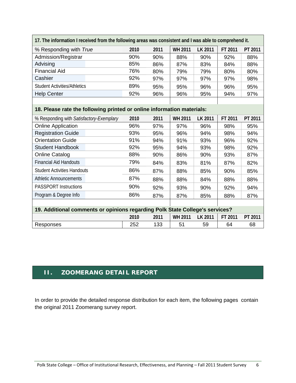| 17. The information I received from the following areas was consistent and I was able to comprehend it. |      |      |                |                |         |         |  |  |
|---------------------------------------------------------------------------------------------------------|------|------|----------------|----------------|---------|---------|--|--|
| % Responding with True                                                                                  | 2010 | 2011 | <b>WH 2011</b> | <b>LK 2011</b> | FT 2011 | PT 2011 |  |  |
| Admission/Registrar                                                                                     | 90%  | 90%  | 88%            | 90%            | 92%     | 88%     |  |  |
| Advising                                                                                                | 85%  | 86%  | 87%            | 83%            | 84%     | 88%     |  |  |
| <b>Financial Aid</b>                                                                                    | 76%  | 80%  | 79%            | 79%            | 80%     | 80%     |  |  |
| Cashier                                                                                                 | 92%  | 97%  | 97%            | 97%            | 97%     | 98%     |  |  |
| <b>Student Activities/Athletics</b>                                                                     | 89%  | 95%  | 95%            | 96%            | 96%     | 95%     |  |  |
| <b>Help Center</b>                                                                                      | 92%  | 96%  | 96%            | 95%            | 94%     | 97%     |  |  |
|                                                                                                         |      |      |                |                |         |         |  |  |

#### **18. Please rate the following printed or online information materials:**

Г

| % Responding with Satisfactory-Exemplary                                     | 2010 | 2011 | <b>WH 2011</b> | <b>LK 2011</b> | FT 2011 | PT 2011 |
|------------------------------------------------------------------------------|------|------|----------------|----------------|---------|---------|
| <b>Online Application</b>                                                    | 96%  | 97%  | 97%            | 96%            | 98%     | 95%     |
| <b>Registration Guide</b>                                                    | 93%  | 95%  | 96%            | 94%            | 98%     | 94%     |
| <b>Orientation Guide</b>                                                     | 91%  | 94%  | 91%            | 93%            | 96%     | 92%     |
| Student Handbook                                                             | 92%  | 95%  | 94%            | 93%            | 98%     | 92%     |
| <b>Online Catalog</b>                                                        | 88%  | 90%  | 86%            | 90%            | 93%     | 87%     |
| <b>Financial Aid Handouts</b>                                                | 79%  | 84%  | 83%            | 81%            | 87%     | 82%     |
| <b>Student Activities Handouts</b>                                           | 86%  | 87%  | 88%            | 85%            | 90%     | 85%     |
| <b>Athletic Announcements</b>                                                | 87%  | 88%  | 88%            | 84%            | 88%     | 88%     |
| <b>PASSPORT Instructions</b>                                                 | 90%  | 92%  | 93%            | 90%            | 92%     | 94%     |
| Program & Degree Info                                                        | 86%  | 87%  | 87%            | 85%            | 88%     | 87%     |
|                                                                              |      |      |                |                |         |         |
| 19. Additional comments or opinions regarding Polk State College's services? |      |      |                |                |         |         |
|                                                                              | 2010 | 2011 | <b>WH 2011</b> | LK 2011        | FT 2011 | PT 2011 |
| Responses                                                                    | 252  | 133  | 51             | 59             | 64      | 68      |

### **II. ZOOMERANG DETAIL REPORT**

In order to provide the detailed response distribution for each item, the following pages contain the original 2011 Zoomerang survey report.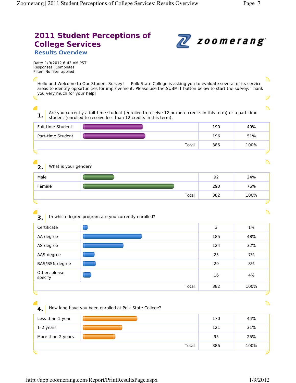ヽ

┘

╲

# **2011 Student Perceptions of College Services Results Overview**



Total 382 100%

Total 386 100%

Date: 1/9/2012 6:43 AM PST Responses: Completes Filter: No filter applied

Hello and Welcome to Our Student Survey! Polk State College is asking you to evaluate several of its service areas to identify opportunities for improvement. Please use the SUBMIT button below to start the survey. Thank you very much for your help!

◢ **1.** Are you currently a full-time student (enrolled to receive 12 or more credits in this term) or a part-time student (enrolled to receive less than 12 credits in this term). Full-time Student **190** 49%

| Part-time Student          |       | 196 | 51%  |
|----------------------------|-------|-----|------|
|                            | Total | 386 | 100% |
|                            |       |     | ╱    |
|                            |       |     | ╲    |
| What is your gender?<br>2. |       |     |      |
| Male                       |       | 92  | 24%  |
| Female                     |       | 290 | 76%  |
|                            |       |     |      |

| 3.      |                       | In which degree program are you currently enrolled? |     |      |
|---------|-----------------------|-----------------------------------------------------|-----|------|
|         | Certificate           |                                                     | 3   | 1%   |
|         | AA degree             |                                                     | 185 | 48%  |
|         | AS degree             |                                                     | 124 | 32%  |
|         | AAS degree            |                                                     | 25  | 7%   |
|         | <b>BAS/BSN</b> degree |                                                     | 29  | 8%   |
| specify | Other, please         |                                                     | 16  | 4%   |
|         |                       | Total                                               | 382 | 100% |

**4.** How long have you been enrolled at Polk State College? Less than 1 year 170 44% 1-2 years 121 31% More than 2 years **120 25%** 25%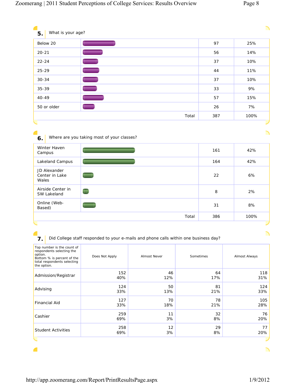| What is your age?<br>5.                                                                                   |                                                     |     |      |
|-----------------------------------------------------------------------------------------------------------|-----------------------------------------------------|-----|------|
| Below 20                                                                                                  | __                                                  | 97  | 25%  |
| $20 - 21$                                                                                                 | -                                                   | 56  | 14%  |
| $22 - 24$                                                                                                 | $\blacksquare$                                      | 37  | 10%  |
| $25 - 29$                                                                                                 | U                                                   | 44  | 11%  |
| $30 - 34$                                                                                                 | J,                                                  | 37  | 10%  |
| 35-39                                                                                                     | $\equiv$                                            | 33  | 9%   |
| 40-49                                                                                                     |                                                     | 57  | 15%  |
|                                                                                                           |                                                     | 26  | 7%   |
|                                                                                                           |                                                     |     |      |
|                                                                                                           | Total<br>Where are you taking most of your classes? | 387 | 100% |
|                                                                                                           |                                                     | 161 | 42%  |
|                                                                                                           |                                                     | 164 | 42%  |
| 50 or older<br>6.<br>Winter Haven<br>Campus<br>Lakeland Campus<br>JD Alexander<br>Center in Lake<br>Wales |                                                     | 22  | 6%   |
| Airside Center in<br>SW Lakeland                                                                          |                                                     | 8   | 2%   |
| Online (Web-<br>Based)                                                                                    |                                                     | 31  | 8%   |

## **7.** Did College staff responded to your e-mails and phone calls within one business day?

| Top number is the count of<br>respondents selecting the<br>option.<br>Bottom % is percent of the<br>total respondents selecting<br>the option. | Does Not Apply | <b>Almost Never</b> | Sometimes | Almost Always |
|------------------------------------------------------------------------------------------------------------------------------------------------|----------------|---------------------|-----------|---------------|
| Admission/Registrar                                                                                                                            | 152            | 46                  | 64        | 118           |
|                                                                                                                                                | 40%            | 12%                 | 17%       | 31%           |
| Advising                                                                                                                                       | 124            | 50                  | 81        | 124           |
|                                                                                                                                                | 33%            | 13%                 | 21%       | 33%           |
| <b>Financial Aid</b>                                                                                                                           | 127            | 70                  | 78        | 105           |
|                                                                                                                                                | 33%            | 18%                 | 21%       | 28%           |
| Cashier                                                                                                                                        | 259            | 11                  | 32        | 76            |
|                                                                                                                                                | 69%            | 3%                  | 8%        | 20%           |
| <b>Student Activities</b>                                                                                                                      | 258            | 12                  | 29        | 77            |
|                                                                                                                                                | 69%            | 3%                  | 8%        | 20%           |
|                                                                                                                                                |                |                     |           |               |

**C** 

╲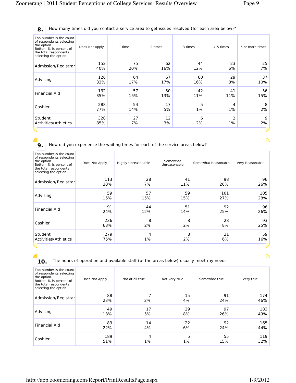#### **8.** How many times did you contact a service area to get issues resolved (for each area below)?

| Top number is the count<br>of respondents selecting<br>the option.<br>Bottom % is percent of<br>the total respondents<br>selecting the option. | Does Not Apply | 1 time | 2 times | 3 times | 4-5 times      | 5 or more times |
|------------------------------------------------------------------------------------------------------------------------------------------------|----------------|--------|---------|---------|----------------|-----------------|
| Admission/Registrar                                                                                                                            | 152            | 75     | 62      | 44      | 23             | 25              |
|                                                                                                                                                | 40%            | 20%    | 16%     | 12%     | 6%             | 7%              |
| Advising                                                                                                                                       | 126            | 64     | 67      | 60      | 29             | 37              |
|                                                                                                                                                | 33%            | 17%    | 17%     | 16%     | 8%             | 10%             |
| <b>Financial Aid</b>                                                                                                                           | 132            | 57     | 50      | 42      | 41             | 56              |
|                                                                                                                                                | 35%            | 15%    | 13%     | 11%     | 11%            | 15%             |
| Cashier                                                                                                                                        | 288            | 54     | 17      | 5       | 4              | 8               |
|                                                                                                                                                | 77%            | 14%    | 5%      | 1%      | 1%             | 2%              |
| Student                                                                                                                                        | 320            | 27     | 12      | 6       | $\mathfrak{D}$ | 9               |
| <b>Activities/Athletics</b>                                                                                                                    | 85%            | 7%     | 3%      | 2%      | 1%             | 2%              |
|                                                                                                                                                |                |        |         |         |                |                 |

**9.** How did you experience the waiting times for each of the service areas below?

| Top number is the count<br>of respondents selecting<br>the option.<br>Bottom % is percent of<br>the total respondents<br>selecting the option. | Does Not Apply | Highly Unreasonable | Somewhat<br>Unreasonable | Somewhat Reasonable | Very Reasonable |
|------------------------------------------------------------------------------------------------------------------------------------------------|----------------|---------------------|--------------------------|---------------------|-----------------|
| Admission/Registrar                                                                                                                            | 113            | 28                  | 41                       | 98                  | 96              |
|                                                                                                                                                | 30%            | 7%                  | 11%                      | 26%                 | 26%             |
| Advising                                                                                                                                       | 59             | 57                  | 59                       | 101                 | 105             |
|                                                                                                                                                | 15%            | 15%                 | 15%                      | 27%                 | 28%             |
| <b>Financial Aid</b>                                                                                                                           | 91             | 44                  | 51                       | 92                  | 96              |
|                                                                                                                                                | 24%            | 12%                 | 14%                      | 25%                 | 26%             |
| Cashier                                                                                                                                        | 236            | 8                   | 8                        | 28                  | 93              |
|                                                                                                                                                | 63%            | 2%                  | 2%                       | 8%                  | 25%             |
| Student                                                                                                                                        | 279            | 4                   | 8                        | 21                  | 59              |
| Activities/Athletics                                                                                                                           | 75%            | $1\%$               | 2%                       | 6%                  | 16%             |
|                                                                                                                                                |                |                     |                          |                     |                 |

c

**10.** The hours of operation and available staff (of the areas below) usually meet my needs.

| Top number is the count<br>of respondents selecting<br>the option.<br>Bottom % is percent of<br>the total respondents<br>selecting the option. | Does Not Apply | Not at all true | Not very true | Somewhat true | Very true  |
|------------------------------------------------------------------------------------------------------------------------------------------------|----------------|-----------------|---------------|---------------|------------|
| Admission/Registrar                                                                                                                            | 88<br>23%      | 2%              | 15<br>4%      | 91<br>24%     | 174<br>46% |
| Advising                                                                                                                                       | 49             | 17              | 29            | 97            | 183        |
|                                                                                                                                                | 13%            | 5%              | 8%            | 26%           | 49%        |
| <b>Financial Aid</b>                                                                                                                           | 83             | 14              | 22            | 92            | 165        |
|                                                                                                                                                | 22%            | 4%              | 6%            | 24%           | 44%        |
| Cashier                                                                                                                                        | 189            | 4               | 5             | 55            | 119        |
|                                                                                                                                                | 51%            | $1\%$           | $1\%$         | 15%           | 32%        |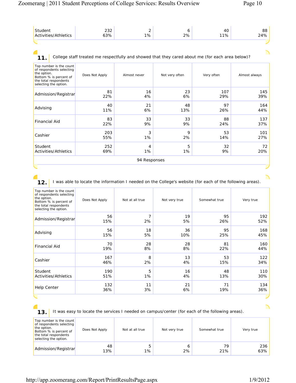╲

∩

| Activities/Athletics | $\cap$<br>ےں ے<br>63% | _<br>1% | 2% | 40.<br>11% | 88<br>24% |
|----------------------|-----------------------|---------|----|------------|-----------|
|                      |                       |         |    |            |           |

€

11. College staff treated me respectfully and showed that they cared about me (for each area below)?

| Top number is the count<br>of respondents selecting<br>the option.<br>Bottom % is percent of<br>the total respondents<br>selecting the option. | Does Not Apply | Almost never | Not very often | Very often | Almost always |
|------------------------------------------------------------------------------------------------------------------------------------------------|----------------|--------------|----------------|------------|---------------|
| Admission/Registrar                                                                                                                            | 81             | 16           | 23             | 107        | 145           |
|                                                                                                                                                | 22%            | 4%           | 6%             | 29%        | 39%           |
| Advising                                                                                                                                       | 40             | 21           | 48             | 97         | 164           |
|                                                                                                                                                | 11%            | 6%           | 13%            | 26%        | 44%           |
| <b>Financial Aid</b>                                                                                                                           | 83             | 33           | 33             | 88         | 137           |
|                                                                                                                                                | 22%            | 9%           | 9%             | 24%        | 37%           |
| Cashier                                                                                                                                        | 203            | 3            | 9              | 53         | 101           |
|                                                                                                                                                | 55%            | $1\%$        | 2%             | 14%        | 27%           |
| Student                                                                                                                                        | 252            | 4            | 5              | 32         | 72            |
| Activities/Athletics                                                                                                                           | 69%            | 1%           | 1%             | 9%         | 20%           |
|                                                                                                                                                |                | 94 Responses |                |            |               |

**12.** I was able to locate the information I needed on the College's website (for each of the following areas).

| Top number is the count<br>of respondents selecting<br>the option.<br>Bottom % is percent of<br>the total respondents<br>selecting the option. | Does Not Apply | Not at all true | Not very true | Somewhat true | Very true |
|------------------------------------------------------------------------------------------------------------------------------------------------|----------------|-----------------|---------------|---------------|-----------|
| Admission/Registrar                                                                                                                            | 56             | 7               | 19            | 95            | 192       |
|                                                                                                                                                | 15%            | 2%              | 5%            | 26%           | 52%       |
| Advising                                                                                                                                       | 56             | 18              | 36            | 95            | 168       |
|                                                                                                                                                | 15%            | 5%              | 10%           | 25%           | 45%       |
| Financial Aid                                                                                                                                  | 70             | 28              | 28            | 81            | 160       |
|                                                                                                                                                | 19%            | 8%              | 8%            | 22%           | 44%       |
| Cashier                                                                                                                                        | 167            | 8               | 13            | 53            | 122       |
|                                                                                                                                                | 46%            | 2%              | 4%            | 15%           | 34%       |
| Student                                                                                                                                        | 190            | 5               | 16            | 48            | 110       |
| Activities/Athletics                                                                                                                           | 51%            | 1%              | 4%            | 13%           | 30%       |
| <b>Help Center</b>                                                                                                                             | 132            | 11              | 21            | 71            | 134       |
|                                                                                                                                                | 36%            | 3%              | 6%            | 19%           | 36%       |
|                                                                                                                                                |                |                 |               |               |           |

**13.** It was easy to locate the services I needed on campus/center (for each of the following areas).

| Top number is the count<br>of respondents selecting<br>the option.<br>Bottom % is percent of<br>the total respondents<br>selecting the option. | Does Not Apply | Not at all true | Not very true | Somewhat true | Very true  |
|------------------------------------------------------------------------------------------------------------------------------------------------|----------------|-----------------|---------------|---------------|------------|
| Admission/Registrar                                                                                                                            | 48<br>13%      | $1\%$           | 2%            | 79<br>21%     | 236<br>63% |

http://app.zoomerang.com/Report/PrintResultsPage.aspx 1/9/2012

╲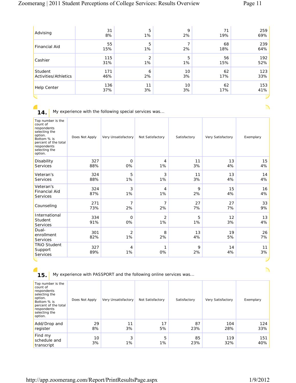| Advising             | 31<br>8%  | 5<br>1% | $\mathsf Q$<br>2% | 19%       | 259<br>69% |
|----------------------|-----------|---------|-------------------|-----------|------------|
| <b>Financial Aid</b> | 55<br>15% | 5<br>1% | 2%                | 68<br>18% | 239<br>64% |
| Cashier              | 115       | 2       | 5                 | 56        | 192        |
|                      | 31%       | 1%      | 1%                | 15%       | 52%        |
| Student              | 171       | 6       | 10                | 62        | 123        |
| Activities/Athletics | 46%       | 2%      | 3%                | 17%       | 33%        |
| Help Center          | 136       | 11      | 10                | 62        | 153        |
|                      | 37%       | 3%      | 3%                | 17%       | 41%        |
|                      |           |         |                   |           |            |

**14.** My experience with the following special services was...

| Top number is the<br>count of<br>respondents<br>selecting the<br>option.<br>Bottom % is<br>percent of the total<br>respondents<br>selecting the<br>option. | Does Not Apply | Very Unsatisfactory  | Not Satisfactory     | Satisfactory | Very Satisfactory | Exemplary |
|------------------------------------------------------------------------------------------------------------------------------------------------------------|----------------|----------------------|----------------------|--------------|-------------------|-----------|
| Disability<br>Services                                                                                                                                     | 327<br>88%     | $\mathbf 0$<br>0%    | 4<br>1%              | 11<br>3%     | 13<br>4%          | 15<br>4%  |
| Veteran's<br>Services                                                                                                                                      | 324<br>88%     | 5<br>1%              | 3<br>1%              | 11<br>3%     | 13<br>4%          | 14<br>4%  |
| Veteran's<br><b>Financial Aid</b><br>Services                                                                                                              | 324<br>87%     | 3<br>1%              | 4<br>1%              | 9<br>2%      | 15<br>4%          | 16<br>4%  |
| Counseling                                                                                                                                                 | 271<br>73%     | $\overline{7}$<br>2% | $\overline{7}$<br>2% | 27<br>7%     | 27<br>7%          | 33<br>9%  |
| International<br>Student<br>Services                                                                                                                       | 334<br>91%     | $\mathbf 0$<br>0%    | 2<br>1%              | 5<br>1%      | 12<br>3%          | 13<br>4%  |
| Dual-<br>enrollment<br>Services                                                                                                                            | 301<br>82%     | $\overline{2}$<br>1% | 8<br>2%              | 13<br>4%     | 19<br>5%          | 26<br>7%  |
| <b>TRIO Student</b><br>Support<br>Services                                                                                                                 | 327<br>89%     | 4<br>1%              | 1<br>0%              | 9<br>2%      | 14<br>4%          | 11<br>3%  |
|                                                                                                                                                            |                |                      |                      |              |                   |           |

**15.** My experience with PASSPORT and the following online services was...

| Top number is the<br>count of<br>respondents<br>selecting the<br>option.<br>Bottom % is<br>percent of the total<br>respondents<br>selecting the<br>option. | Does Not Apply | Very Unsatisfactory | Not Satisfactory | Satisfactory | Very Satisfactory | Exemplary  |
|------------------------------------------------------------------------------------------------------------------------------------------------------------|----------------|---------------------|------------------|--------------|-------------------|------------|
| Add/Drop and<br>register                                                                                                                                   | 29<br>8%       | 11<br>3%            | 17<br>5%         | 87<br>23%    | 104<br>28%        | 124<br>33% |
| Find my<br>schedule and<br>transcript                                                                                                                      | 10<br>3%       | 3<br>1%             | 5<br>$1\%$       | 85<br>23%    | 119<br>32%        | 151<br>40% |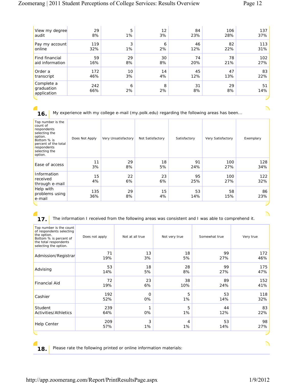| View my degree                          | 29         | 5       | 12      | 84       | 106      | 137       |
|-----------------------------------------|------------|---------|---------|----------|----------|-----------|
| audit                                   | 8%         | 1%      | 3%      | 23%      | 28%      | 37%       |
| Pay my account                          | 119        | 3       | 6       | 46       | 82       | 113       |
| online                                  | 32%        | 1%      | 2%      | 12%      | 22%      | 31%       |
| Find financial                          | 59         | 29      | 30      | 74       | 78       | 102       |
| aid information                         | 16%        | 8%      | 8%      | 20%      | 21%      | 27%       |
| Order a                                 | 172        | 10      | 14      | 45       | 47       | 83        |
| transcript                              | 46%        | 3%      | 4%      | 12%      | 13%      | 22%       |
| Complete a<br>graduation<br>application | 242<br>66% | 6<br>2% | 8<br>2% | 31<br>8% | 29<br>8% | 51<br>14% |
|                                         |            |         |         |          |          |           |

**C** 

à.

**16.** My experience with my college e-mail (my.polk.edu) regarding the following areas has been...

| Top number is the<br>count of<br>respondents<br>selecting the<br>option.<br>Bottom % is<br>percent of the total<br>respondents<br>selecting the<br>option. | Does Not Apply | Very Unsatisfactory | Not Satisfactory | Satisfactory | Very Satisfactory | Exemplary  |
|------------------------------------------------------------------------------------------------------------------------------------------------------------|----------------|---------------------|------------------|--------------|-------------------|------------|
| Ease of access                                                                                                                                             | 11<br>3%       | 29<br>8%            | 18<br>5%         | 91<br>24%    | 100<br>27%        | 128<br>34% |
| Information<br>received<br>through e-mail                                                                                                                  | 15<br>4%       | 22<br>6%            | 23<br>6%         | 95<br>25%    | 100<br>27%        | 122<br>32% |
| Help with<br>problems using<br>e-mail                                                                                                                      | 135<br>36%     | 29<br>8%            | 15<br>4%         | 53<br>14%    | 58<br>15%         | 86<br>23%  |
|                                                                                                                                                            |                |                     |                  |              |                   |            |

**17.** The information I received from the following areas was consistent and I was able to comprehend it.

| Top number is the count<br>of respondents selecting<br>the option.<br>Bottom % is percent of<br>the total respondents<br>selecting the option. | Does not apply | Not at all true | Not very true | Somewhat true | Very true |
|------------------------------------------------------------------------------------------------------------------------------------------------|----------------|-----------------|---------------|---------------|-----------|
| Admission/Registrar                                                                                                                            | 71             | 13              | 18            | 99            | 172       |
|                                                                                                                                                | 19%            | 3%              | 5%            | 27%           | 46%       |
| Advising                                                                                                                                       | 53             | 18              | 28            | 99            | 175       |
|                                                                                                                                                | 14%            | 5%              | 8%            | 27%           | 47%       |
| <b>Financial Aid</b>                                                                                                                           | 72             | 23              | 38            | 89            | 152       |
|                                                                                                                                                | 19%            | 6%              | 10%           | 24%           | 41%       |
| Cashier                                                                                                                                        | 192            | $\Omega$        | 5             | 53            | 118       |
|                                                                                                                                                | 52%            | 0%              | 1%            | 14%           | 32%       |
| Student                                                                                                                                        | 239            | 0%              | 5             | 44            | 83        |
| Activities/Athletics                                                                                                                           | 64%            |                 | 1%            | 12%           | 22%       |
| <b>Help Center</b>                                                                                                                             | 209            | 3               | 4             | 53            | 98        |
|                                                                                                                                                | 57%            | 1%              | 1%            | 14%           | 27%       |
|                                                                                                                                                |                |                 |               |               |           |

◢

**18.** Please rate the following printed or online information materials:

╲

╲